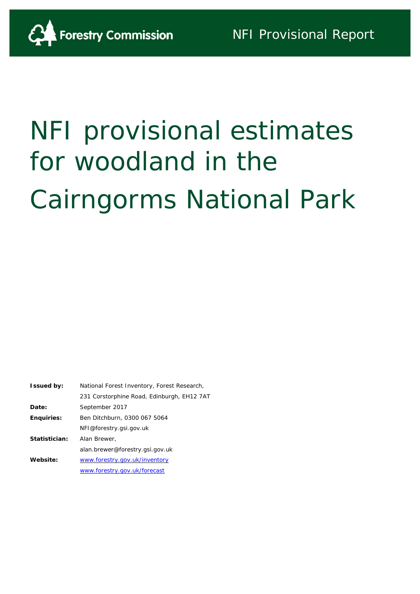

# NFI provisional estimates for woodland in the Cairngorms National Park

| National Forest Inventory, Forest Research, |
|---------------------------------------------|
| 231 Corstorphine Road, Edinburgh, EH12 7AT  |
| September 2017                              |
| Ben Ditchburn, 0300 067 5064                |
| NFI@forestry.gsi.gov.uk                     |
| Alan Brewer,                                |
| alan.brewer@forestry.gsi.gov.uk             |
| www.forestry.gov.uk/inventory               |
| www.forestry.gov.uk/forecast                |
|                                             |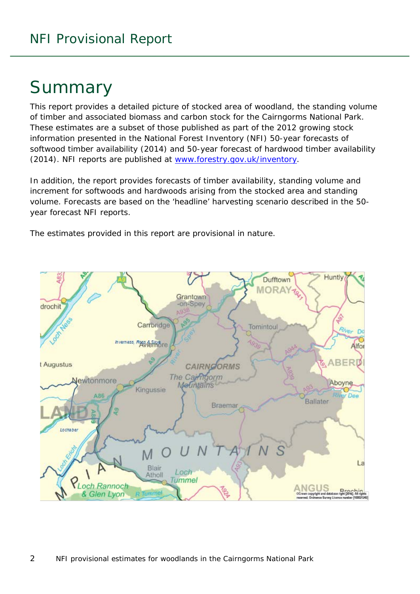# Summary

This report provides a detailed picture of stocked area of woodland, the standing volume of timber and associated biomass and carbon stock for the Cairngorms National Park. These estimates are a subset of those published as part of the 2012 growing stock information presented in the National Forest Inventory (NFI) *50-year forecasts of softwood timber availability* (2014) and *50-year forecast of hardwood timber availability* (2014). NFI reports are published at [www.forestry.gov.uk/inventory.](http://www.forestry.gov.uk/inventory)

In addition, the report provides forecasts of timber availability, standing volume and increment for softwoods and hardwoods arising from the stocked area and standing volume. Forecasts are based on the 'headline' harvesting scenario described in the 50 year forecast NFI reports.

The estimates provided in this report are provisional in nature.

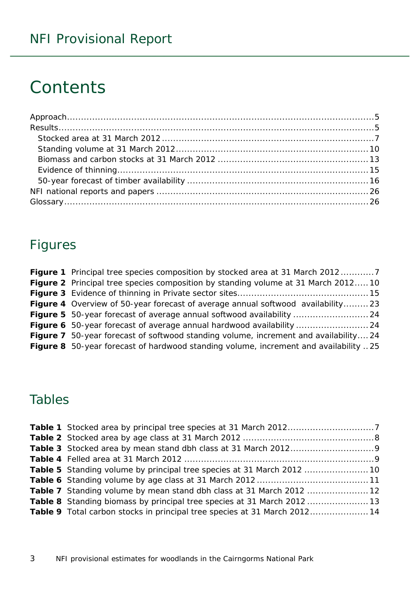# **Contents**

### Figures

| <b>Figure 1</b> Principal tree species composition by stocked area at 31 March 20127        |
|---------------------------------------------------------------------------------------------|
| <b>Figure 2</b> Principal tree species composition by standing volume at 31 March 201210    |
|                                                                                             |
| <b>Figure 4</b> Overview of 50-year forecast of average annual softwood availability23      |
|                                                                                             |
|                                                                                             |
| <b>Figure 7</b> 50-year forecast of softwood standing volume, increment and availability 24 |
| Figure 8 50-year forecast of hardwood standing volume, increment and availability 25        |

# Tables

| Table 7 Standing volume by mean stand dbh class at 31 March 2012  12             |
|----------------------------------------------------------------------------------|
| <b>Table 8</b> Standing biomass by principal tree species at 31 March 2012 13    |
| <b>Table 9</b> Total carbon stocks in principal tree species at 31 March 2012 14 |
|                                                                                  |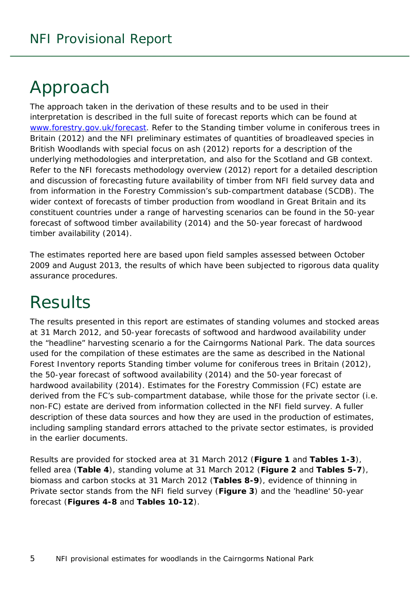# <span id="page-4-0"></span>Approach

The approach taken in the derivation of these results and to be used in their interpretation is described in the full suite of forecast reports which can be found at [www.forestry.gov.uk/forecast.](http://www.forestry.gov.uk/forecast) Refer to the *Standing timber volume in coniferous trees in Britain* (2012) and the *NFI preliminary estimates of quantities of broadleaved species in British Woodlands with special focus on ash* (2012) reports for a description of the underlying methodologies and interpretation, and also for the Scotland and GB context. Refer to the *NFI forecasts methodology overview* (2012) report for a detailed description and discussion of forecasting future availability of timber from NFI field survey data and from information in the Forestry Commission's sub-compartment database (SCDB). The wider context of forecasts of timber production from woodland in Great Britain and its constituent countries under a range of harvesting scenarios can be found in the *50-year forecast of softwood timber availability* (2014) and the *50-year forecast of hardwood timber availability* (2014).

The estimates reported here are based upon field samples assessed between October 2009 and August 2013, the results of which have been subjected to rigorous data quality assurance procedures.

# <span id="page-4-1"></span>**Results**

The results presented in this report are estimates of standing volumes and stocked areas at 31 March 2012, and 50-year forecasts of softwood and hardwood availability under the "headline" harvesting scenario a for the Cairngorms National Park. The data sources used for the compilation of these estimates are the same as described in the National Forest Inventory reports *Standing timber volume for coniferous trees in Britain* (2012), the *50-year forecast of softwood availability* (2014) and the *50-year forecast of hardwood availability* (2014). Estimates for the Forestry Commission (FC) estate are derived from the FC's sub-compartment database, while those for the private sector (i.e. non-FC) estate are derived from information collected in the NFI field survey. A fuller description of these data sources and how they are used in the production of estimates, including sampling standard errors attached to the private sector estimates, is provided in the earlier documents.

Results are provided for stocked area at 31 March 2012 (**Figure 1** and **Tables 1-3**), felled area (**Table 4**), standing volume at 31 March 2012 (**Figure 2** and **Tables 5-7**), biomass and carbon stocks at 31 March 2012 (**Tables 8-9**), evidence of thinning in Private sector stands from the NFI field survey (**Figure 3**) and the 'headline' 50-year forecast (**Figures 4-8** and **Tables 10-12**).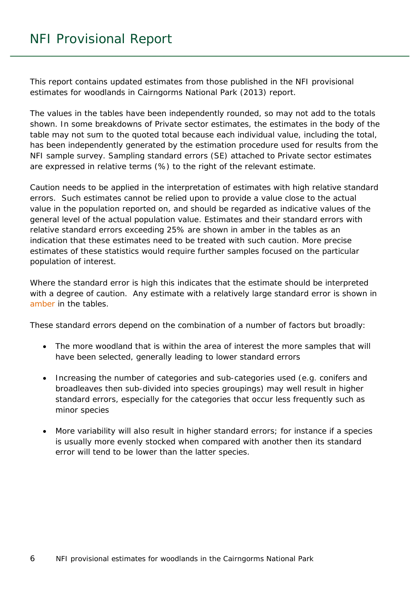This report contains updated estimates from those published in the *NFI provisional estimates for woodlands in Cairngorms National Park* (2013) report.

The values in the tables have been independently rounded, so may not add to the totals shown. In some breakdowns of Private sector estimates, the estimates in the body of the table may not sum to the quoted total because each individual value, including the total, has been independently generated by the estimation procedure used for results from the NFI sample survey. Sampling standard errors (SE) attached to Private sector estimates are expressed in relative terms (%) to the right of the relevant estimate.

Caution needs to be applied in the interpretation of estimates with high relative standard errors. Such estimates cannot be relied upon to provide a value close to the actual value in the population reported on, and should be regarded as indicative values of the general level of the actual population value. Estimates and their standard errors with relative standard errors exceeding 25% are shown in amber in the tables as an indication that these estimates need to be treated with such caution. More precise estimates of these statistics would require further samples focused on the particular population of interest.

Where the standard error is high this indicates that the estimate should be interpreted with a degree of caution. Any estimate with a relatively large standard error is shown in amber in the tables.

These standard errors depend on the combination of a number of factors but broadly:

- The more woodland that is within the area of interest the more samples that will have been selected, generally leading to lower standard errors
- Increasing the number of categories and sub-categories used (e.g. conifers and broadleaves then sub-divided into species groupings) may well result in higher standard errors, especially for the categories that occur less frequently such as minor species
- More variability will also result in higher standard errors; for instance if a species is usually more evenly stocked when compared with another then its standard error will tend to be lower than the latter species.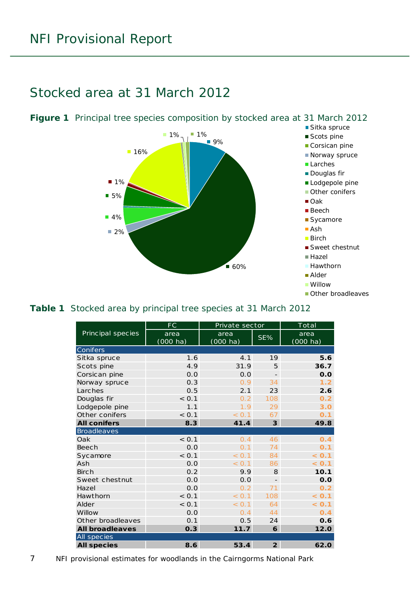## <span id="page-6-0"></span>Stocked area at 31 March 2012



#### <span id="page-6-2"></span>**Table 1** Stocked area by principal tree species at 31 March 2012

|                        | <b>FC</b> | Private sector |                         | Total              |
|------------------------|-----------|----------------|-------------------------|--------------------|
| Principal species      | area      | area           | SE%                     | area               |
|                        | (000 ha)  | (000 ha)       |                         | $(000 \text{ ha})$ |
| Conifers               |           |                |                         |                    |
| Sitka spruce           | 1.6       | 4.1            | 19                      | 5.6                |
| Scots pine             | 4.9       | 31.9           | 5                       | 36.7               |
| Corsican pine          | 0.0       | 0.0            |                         | 0.0                |
| Norway spruce          | 0.3       | 0.9            | 34                      | 1.2                |
| Larches                | 0.5       | 2.1            | 23                      | 2.6                |
| Douglas fir            | < 0.1     | 0.2            | 108                     | 0.2                |
| Lodgepole pine         | 1.1       | 1.9            | 29                      | 3.0                |
| Other conifers         | < 0.1     | < 0.1          | 67                      | 0.1                |
| <b>All conifers</b>    | 8.3       | 41.4           | $\overline{\mathbf{3}}$ | 49.8               |
| <b>Broadleaves</b>     |           |                |                         |                    |
| Oak                    | < 0.1     | 0.4            | 46                      | 0.4                |
| <b>Beech</b>           | 0.0       | 0.1            | 74                      | O.1                |
| Sycamore               | < 0.1     | < 0.1          | 84                      | < 0.1              |
| Ash                    | 0.0       | < 0.1          | 86                      | < 0.1              |
| <b>Birch</b>           | 0.2       | 9.9            | 8                       | 10.1               |
| Sweet chestnut         | 0.0       | 0.0            | $\overline{a}$          | 0.0                |
| Hazel                  | 0.0       | 0.2            | 71                      | 0.2                |
| Hawthorn               | < 0.1     | < 0.1          | 108                     | < 0.1              |
| Alder                  | < 0.1     | < 0.1          | 64                      | < 0.1              |
| Willow                 | 0.0       | 0.4            | 44                      | 0.4                |
| Other broadleaves      | 0.1       | 0.5            | 24                      | 0.6                |
| <b>All broadleaves</b> | 0.3       | 11.7           | 6                       | 12.0               |
| All species            |           |                |                         |                    |
| <b>All species</b>     | 8.6       | 53.4           | $\overline{2}$          | 62.0               |

<span id="page-6-1"></span>**Figure 1** Principal tree species composition by stocked area at 31 March 2012

7 NFI provisional estimates for woodlands in the Cairngorms National Park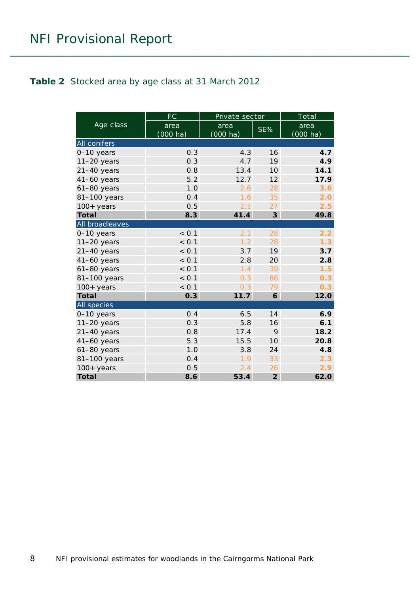#### <span id="page-7-0"></span>**Table 2** Stocked area by age class at 31 March 2012

|                     | FC                 | Private sector     |                 | Total              |
|---------------------|--------------------|--------------------|-----------------|--------------------|
| Age class           | area               | area               | SE%             | area               |
|                     | $(000 \text{ ha})$ | $(000 \text{ ha})$ |                 | $(000 \text{ ha})$ |
| <b>All conifers</b> |                    |                    |                 |                    |
| 0-10 years          | 0.3                | 4.3                | 16              | 4.7                |
| $11-20$ years       | 0.3                | 4.7                | 19              | 4.9                |
| $21-40$ years       | 0.8                | 13.4               | 10 <sup>1</sup> | 14.1               |
| $41-60$ years       | 5.2                | 12.7               | 12              | 17.9               |
| $61-80$ years       | 1.0                | 2.6                | 28              | 3.6                |
| 81-100 years        | 0.4                | 1.6                | 35              | 2.0                |
| $100 + years$       | 0.5                | 2.1                | 27              | 2.5                |
| <b>Total</b>        | 8.3                | 41.4               | $\overline{3}$  | 49.8               |
| All broadleaves     |                    |                    |                 |                    |
| $0-10$ years        | < 0.1              | 2.1                | 28              | 2.2                |
| $11-20$ years       | < 0.1              | 1.2                | 28              | 1.3                |
| $21-40$ years       | < 0.1              | 3.7                | 19              | 3.7                |
| $41-60$ years       | < 0.1              | 2.8                | 20              | 2.8                |
| $61-80$ years       | < 0.1              | 1.4                | 39              | 1.5                |
| 81-100 years        | < 0.1              | 0.3                | 86              | 0.3                |
| $100+$ years        | < 0.1              | 0.3                | 79              | 0.3                |
| <b>Total</b>        | 0.3                | 11.7               | 6               | 12.0               |
| All species         |                    |                    |                 |                    |
| 0-10 years          | 0.4                | 6.5                | 14              | 6.9                |
| $11-20$ years       | 0.3                | 5.8                | 16              | 6.1                |
| $21-40$ years       | 0.8                | 17.4               | 9               | 18.2               |
| $41-60$ years       | 5.3                | 15.5               | 10              | 20.8               |
| $61-80$ years       | 1.0                | 3.8                | 24              | 4.8                |
| 81-100 years        | 0.4                | 1.9                | 33              | 2.3                |
| $100+$ years        | 0.5                | 2.4                | 26              | 2.9                |
| <b>Total</b>        | 8.6                | 53.4               | $\overline{2}$  | 62.0               |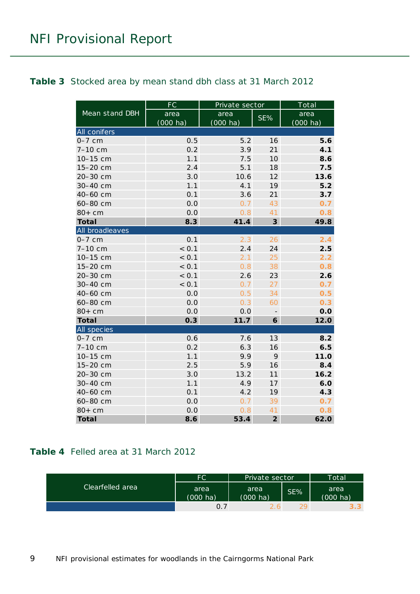#### <span id="page-8-0"></span>**Table 3** Stocked area by mean stand dbh class at 31 March 2012

|                 | FC                 | Private sector     | Total          |                    |
|-----------------|--------------------|--------------------|----------------|--------------------|
| Mean stand DBH  | area               | area               | SE%            | area               |
|                 | $(000 \text{ ha})$ | $(000 \text{ ha})$ |                | $(000 \text{ ha})$ |
| All conifers    |                    |                    |                |                    |
| $0-7$ cm        | 0.5                | 5.2                | 16             | 5.6                |
| 7-10 cm         | 0.2                | 3.9                | 21             | 4.1                |
| 10-15 cm        | 1.1                | 7.5                | 10             | 8.6                |
| 15-20 cm        | 2.4                | 5.1                | 18             | 7.5                |
| 20-30 cm        | 3.0                | 10.6               | 12             | 13.6               |
| 30-40 cm        | 1.1                | 4.1                | 19             | 5.2                |
| 40-60 cm        | 0.1                | 3.6                | 21             | 3.7                |
| 60-80 cm        | 0.0                | 0.7                | 43             | 0.7                |
| $80+cm$         | 0.0                | 0.8                | 41             | 0.8                |
| <b>Total</b>    | 8.3                | 41.4               | $\mathfrak{z}$ | 49.8               |
| All broadleaves |                    |                    |                |                    |
| $0-7$ cm        | 0.1                | 2.3                | 26             | 2.4                |
| 7-10 cm         | < 0.1              | 2.4                | 24             | 2.5                |
| 10-15 cm        | < 0.1              | 2.1                | 25             | 2.2                |
| 15-20 cm        | < 0.1              | 0.8                | 38             | 0.8                |
| 20-30 cm        | < 0.1              | 2.6                | 23             | 2.6                |
| 30-40 cm        | < 0.1              | 0.7                | 27             | 0.7                |
| 40-60 cm        | 0.0                | 0.5                | 34             | 0.5                |
| 60-80 cm        | 0.0                | 0.3                | 60             | 0.3                |
| $80+cm$         | 0.0                | 0.0                |                | 0.0                |
| <b>Total</b>    | 0.3                | 11.7               | 6              | 12.0               |
| All species     |                    |                    |                |                    |
| $0-7$ cm        | 0.6                | 7.6                | 13             | 8.2                |
| 7-10 cm         | 0.2                | 6.3                | 16             | 6.5                |
| 10-15 cm        | 1.1                | 9.9                | 9              | 11.0               |
| 15-20 cm        | 2.5                | 5.9                | 16             | 8.4                |
| 20-30 cm        | 3.0                | 13.2               | 11             | 16.2               |
| 30-40 cm        | 1.1                | 4.9                | 17             | 6.0                |
| 40-60 cm        | 0.1                | 4.2                | 19             | 4.3                |
| 60-80 cm        | 0.0                | 0.7                | 39             | 0.7                |
| $80+cm$         | 0.0                | 0.8                | 41             | 0.8                |
| <b>Total</b>    | 8.6                | 53.4               | $\overline{2}$ | 62.0               |

#### <span id="page-8-1"></span>**Table 4** Felled area at 31 March 2012

|                  | FC                         | Private sector   |     | Total'           |
|------------------|----------------------------|------------------|-----|------------------|
| Clearfelled area | area<br>$(000 \text{ ha})$ | area<br>(000 ha) | SE% | area<br>(000 ha) |
|                  |                            |                  |     | $3.3^{\circ}$    |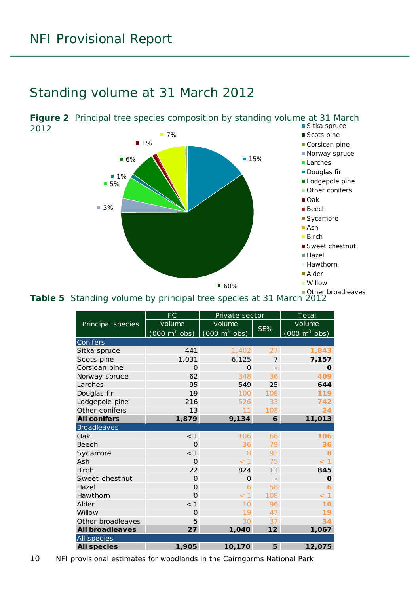### <span id="page-9-0"></span>Standing volume at 31 March 2012

<span id="page-9-1"></span>

<span id="page-9-2"></span>Table 5 Standing volume by principal tree species at 31 March 2012

|                        | <b>FC</b>                       | Private sector                  |                          | Total                           |
|------------------------|---------------------------------|---------------------------------|--------------------------|---------------------------------|
| Principal species      | volume                          | volume                          |                          | volume                          |
|                        | $(000 \text{ m}^3 \text{ obs})$ | $(000 \text{ m}^3 \text{ obs})$ | SE%                      | $(000 \text{ m}^3 \text{ obs})$ |
| Conifers               |                                 |                                 |                          |                                 |
| Sitka spruce           | 441                             | 1,402                           | 27                       | 1,843                           |
| Scots pine             | 1,031                           | 6,125                           | 7                        | 7,157                           |
| Corsican pine          | $\Omega$                        | $\Omega$                        | $\overline{\phantom{a}}$ | O                               |
| Norway spruce          | 62                              | 348                             | 36                       | 409                             |
| Larches                | 95                              | 549                             | 25                       | 644                             |
| Douglas fir            | 19                              | 100                             | 108                      | 119                             |
| Lodgepole pine         | 216                             | 526                             | 33                       | 742                             |
| Other conifers         | 13                              | 11                              | 108                      | 24                              |
| <b>All conifers</b>    | 1,879                           | 9,134                           | 6                        | 11,013                          |
| <b>Broadleaves</b>     |                                 |                                 |                          |                                 |
| Oak                    | $<$ 1                           | 106                             | 66                       | 106                             |
| <b>Beech</b>           | $\Omega$                        | 36                              | 79                       | 36                              |
| Sycamore               | < 1                             | 8                               | 91                       | 8                               |
| Ash                    | $\Omega$                        | < 1                             | 75                       | < 1                             |
| <b>Birch</b>           | 22                              | 824                             | 11                       | 845                             |
| Sweet chestnut         | $\Omega$                        | $\Omega$                        |                          | $\mathbf 0$                     |
| Hazel                  | $\Omega$                        | 6                               | 58                       | 6                               |
| Hawthorn               | $\Omega$                        | < 1                             | 108                      | $\overline{1}$<br>$\,<\,$       |
| Alder                  | < 1                             | 10                              | 96                       | 10                              |
| Willow                 | $\Omega$                        | 19                              | 47                       | 19                              |
| Other broadleaves      | 5                               | 30                              | 37                       | 34                              |
| <b>All broadleaves</b> | 27                              | 1,040                           | 12                       | 1,067                           |
| All species            |                                 |                                 |                          |                                 |
| <b>All species</b>     | 1,905                           | 10,170                          | 5                        | 12,075                          |

10 NFI provisional estimates for woodlands in the Cairngorms National Park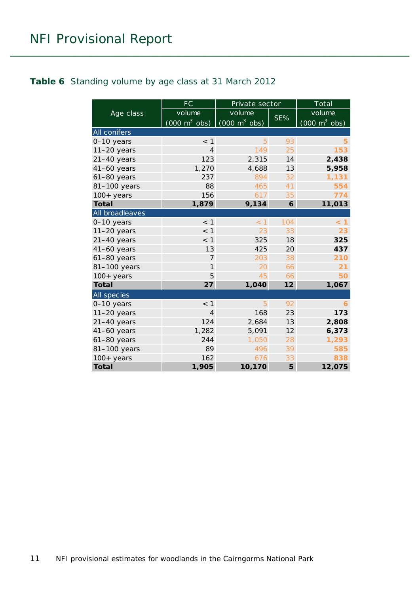#### <span id="page-10-0"></span>**Table 6** Standing volume by age class at 31 March 2012

|                 | <b>FC</b>                       | Private sector                      |     | Total                           |
|-----------------|---------------------------------|-------------------------------------|-----|---------------------------------|
| Age class       | volume                          | volume                              |     | volume                          |
|                 | $(000 \text{ m}^3 \text{ obs})$ | $(000 \; \text{m}^3 \; \text{obs})$ | SE% | $(000 \text{ m}^3 \text{ obs})$ |
| All conifers    |                                 |                                     |     |                                 |
| 0-10 years      | < 1                             | 5                                   | 93  | 5                               |
| $11-20$ years   | $\overline{4}$                  | 149                                 | 25  | 153                             |
| $21 - 40$ years | 123                             | 2,315                               | 14  | 2,438                           |
| $41-60$ years   | 1,270                           | 4,688                               | 13  | 5,958                           |
| $61-80$ years   | 237                             | 894                                 | 32  | 1,131                           |
| 81-100 years    | 88                              | 465                                 | 41  | 554                             |
| $100+$ years    | 156                             | 617                                 | 35  | 774                             |
| <b>Total</b>    | 1,879                           | 9,134                               | 6   | 11,013                          |
| All broadleaves |                                 |                                     |     |                                 |
| 0-10 years      | < 1                             | $<$ 1                               | 104 | < 1                             |
| $11-20$ years   | $<$ 1                           | 23                                  | 33  | 23                              |
| $21-40$ years   | $<$ 1                           | 325                                 | 18  | 325                             |
| $41-60$ years   | 13                              | 425                                 | 20  | 437                             |
| $61-80$ years   | 7                               | 203                                 | 38  | 210                             |
| 81-100 years    | 1                               | 20                                  | 66  | 21                              |
| $100+$ years    | 5                               | 45                                  | 66  | 50                              |
| <b>Total</b>    | 27                              | 1,040                               | 12  | 1,067                           |
| All species     |                                 |                                     |     |                                 |
| 0-10 years      | < 1                             | 5                                   | 92  | 6                               |
| $11-20$ years   | 4                               | 168                                 | 23  | 173                             |
| 21-40 years     | 124                             | 2,684                               | 13  | 2,808                           |
| $41-60$ years   | 1,282                           | 5,091                               | 12  | 6,373                           |
| $61-80$ years   | 244                             | 1,050                               | 28  | 1,293                           |
| 81-100 years    | 89                              | 496                                 | 39  | 585                             |
| $100+$ years    | 162                             | 676                                 | 33  | 838                             |
| <b>Total</b>    | 1,905                           | 10,170                              | 5   | 12,075                          |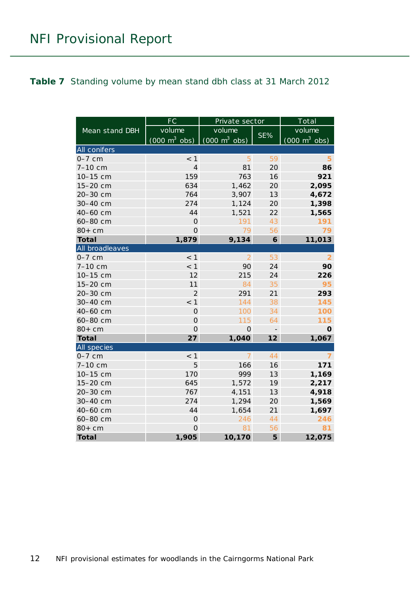#### <span id="page-11-0"></span>**Table 7** Standing volume by mean stand dbh class at 31 March 2012

|                 | FC                              | Private sector                      | Total             |                                 |
|-----------------|---------------------------------|-------------------------------------|-------------------|---------------------------------|
| Mean stand DBH  | volume                          | volume                              | SE%               | volume                          |
|                 | $(000 \text{ m}^3 \text{ obs})$ | $(000 \; \text{m}^3 \; \text{obs})$ |                   | $(000 \text{ m}^3 \text{ obs})$ |
| All conifers    |                                 |                                     |                   |                                 |
| $0-7$ cm        | $<$ 1                           | 5                                   | 59                | 5                               |
| 7-10 cm         | $\overline{4}$                  | 81                                  | 20                | 86                              |
| 10-15 cm        | 159                             | 763                                 | 16                | 921                             |
| 15-20 cm        | 634                             | 1,462                               | 20                | 2,095                           |
| 20-30 cm        | 764                             | 3,907                               | 13                | 4,672                           |
| 30-40 cm        | 274                             | 1,124                               | 20                | 1,398                           |
| 40-60 cm        | 44                              | 1,521                               | 22                | 1,565                           |
| 60-80 cm        | $\overline{0}$                  | 191                                 | 43                | 191                             |
| $80+cm$         | $\overline{0}$                  | 79                                  | 56                | 79                              |
| <b>Total</b>    | 1,879                           | 9,134                               | 6                 | 11,013                          |
| All broadleaves |                                 |                                     |                   |                                 |
| $0-7$ cm        | < 1                             | $\overline{2}$                      | 53                | $\overline{2}$                  |
| 7-10 cm         | < 1                             | 90                                  | 24                | 90                              |
| 10-15 cm        | 12                              | 215                                 | 24                | 226                             |
| 15-20 cm        | 11                              | 84                                  | 35                | 95                              |
| 20-30 cm        | $\overline{2}$                  | 291                                 | 21                | 293                             |
| 30-40 cm        | < 1                             | 144                                 | 38                | 145                             |
| 40-60 cm        | $\overline{O}$                  | 100                                 | 34                | 100                             |
| 60-80 cm        | $\overline{O}$                  | 115                                 | 64                | 115                             |
| $80+cm$         | $\mathbf 0$                     | $\Omega$                            | $\qquad \qquad -$ | $\mathbf 0$                     |
| <b>Total</b>    | 27                              | 1,040                               | 12                | 1,067                           |
| All species     |                                 |                                     |                   |                                 |
| $0-7$ cm        | $<$ 1                           | 7                                   | 44                | 7                               |
| 7-10 cm         | 5                               | 166                                 | 16                | 171                             |
| 10-15 cm        | 170                             | 999                                 | 13                | 1,169                           |
| 15-20 cm        | 645                             | 1,572                               | 19                | 2,217                           |
| 20-30 cm        | 767                             | 4,151                               | 13                | 4,918                           |
| 30-40 cm        | 274                             | 1,294                               | 20                | 1,569                           |
| 40-60 cm        | 44                              | 1,654                               | 21                | 1,697                           |
| 60-80 cm        | $\overline{0}$                  | 246                                 | 44                | 246                             |
| $80+cm$         | $\overline{O}$                  | 81                                  | 56                | 81                              |
| <b>Total</b>    | 1,905                           | 10,170                              | 5                 | 12,075                          |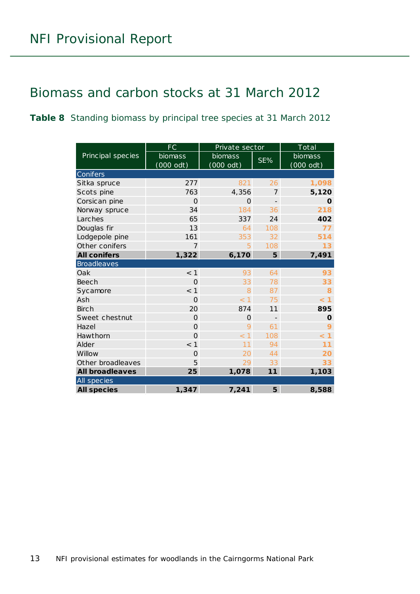## <span id="page-12-0"></span>Biomass and carbon stocks at 31 March 2012

<span id="page-12-1"></span>**Table 8** Standing biomass by principal tree species at 31 March 2012

|                        | FC                  | Private sector      | Total             |           |  |
|------------------------|---------------------|---------------------|-------------------|-----------|--|
| Principal species      | biomass             | biomass             | SE%               | biomass   |  |
|                        | $(000 \text{ odt})$ | $(000 \text{ odt})$ |                   | (000 odt) |  |
| Conifers               |                     |                     |                   |           |  |
| Sitka spruce           | 277                 | 821                 | 26                | 1,098     |  |
| Scots pine             | 763                 | 4,356               | 7                 | 5,120     |  |
| Corsican pine          | $\Omega$            | O                   |                   | O         |  |
| Norway spruce          | 34                  | 184                 | 36                | 218       |  |
| Larches                | 65                  | 337                 | 24                | 402       |  |
| Douglas fir            | 13                  | 64                  | 108               | 77        |  |
| Lodgepole pine         | 161                 | 353                 | 32                | 514       |  |
| Other conifers         | $\overline{7}$      | 5                   | 108               | 13        |  |
| <b>All conifers</b>    | 1,322               | 6,170               | 5                 | 7,491     |  |
| <b>Broadleaves</b>     |                     |                     |                   |           |  |
| Oak                    | < 1                 | 93                  | 64                | 93        |  |
| <b>Beech</b>           | $\Omega$            | 33                  | 78                | 33        |  |
| Sycamore               | < 1                 | 8                   | 87                | 8         |  |
| Ash                    | $\Omega$            | < 1                 | 75                | $\leq 1$  |  |
| <b>Birch</b>           | 20                  | 874                 | 11                | 895       |  |
| Sweet chestnut         | $\Omega$            | O                   | $\qquad \qquad -$ | O         |  |
| Hazel                  | $\overline{O}$      | 9                   | 61                | 9         |  |
| Hawthorn               | $\overline{O}$      | < 1                 | 108               | < 1       |  |
| Alder                  | < 1                 | 11                  | 94                | 11        |  |
| Willow                 | $\Omega$            | 20                  | 44                | 20        |  |
| Other broadleaves      | 5                   | 29                  | 33                | 33        |  |
| <b>All broadleaves</b> | 25                  | 1,078               | 11                | 1,103     |  |
| All species            |                     |                     |                   |           |  |
| <b>All species</b>     | 1,347               | 7,241               | 5                 | 8,588     |  |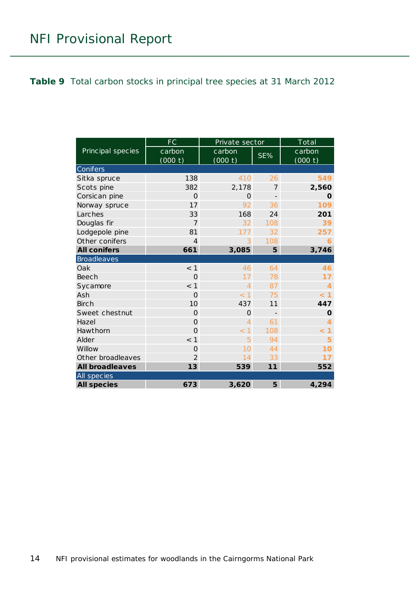#### <span id="page-13-0"></span>**Table 9** Total carbon stocks in principal tree species at 31 March 2012

|                        | <b>FC</b>      | Private sector                   | Total                    |                   |  |  |
|------------------------|----------------|----------------------------------|--------------------------|-------------------|--|--|
| Principal species      | carbon         | carbon                           | SE%                      | carbon            |  |  |
|                        | (000 t)        | (000 t)                          |                          | (000 t)           |  |  |
| <b>Conifers</b>        |                |                                  |                          |                   |  |  |
| Sitka spruce           | 138            | 410                              | 26                       | 549               |  |  |
| Scots pine             | 382            | 2,178                            | 7                        | 2,560             |  |  |
| Corsican pine          | $\Omega$       | $\Omega$                         |                          | O                 |  |  |
| Norway spruce          | 17             | 92                               | 36                       | 109               |  |  |
| Larches                | 33             | 168                              | 24                       | 201               |  |  |
| Douglas fir            | $\overline{7}$ | 32                               | 108                      | 39                |  |  |
| Lodgepole pine         | 81             | 177                              | 32                       | 257               |  |  |
| Other conifers         | $\overline{4}$ | 3                                | 108                      | 6                 |  |  |
| <b>All conifers</b>    | 661            | 3,085                            | 5                        | 3,746             |  |  |
| <b>Broadleaves</b>     |                |                                  |                          |                   |  |  |
| Oak                    | < 1            | 46                               | 64                       | 46                |  |  |
| <b>Beech</b>           | $\Omega$       | 17                               | 78                       | 17                |  |  |
| Sycamore               | $<$ 1          | $\overline{4}$                   | 87                       | 4                 |  |  |
| Ash                    | $\Omega$       | < 1                              | 75                       | < 1               |  |  |
| <b>Birch</b>           | 10             | 437                              | 11                       | 447               |  |  |
| Sweet chestnut         | $\Omega$       | 0                                | $\overline{\phantom{0}}$ | $\mathbf 0$       |  |  |
| Hazel                  | $\overline{O}$ | 4                                | 61                       | 4                 |  |  |
| Hawthorn               | $\Omega$       | $\overline{1}$<br>$\overline{<}$ | 108                      | $\mathbf{1}$<br>< |  |  |
| Alder                  | $<$ 1          | 5                                | 94                       | 5                 |  |  |
| Willow                 | $\Omega$       | 10                               | 44                       | 10                |  |  |
| Other broadleaves      | $\mathcal{P}$  | 14                               | 33                       | 17                |  |  |
| <b>All broadleaves</b> | 13             | 539                              | 11                       | 552               |  |  |
| All species            |                |                                  |                          |                   |  |  |
| <b>All species</b>     | 673            | 3,620                            | 5                        | 4,294             |  |  |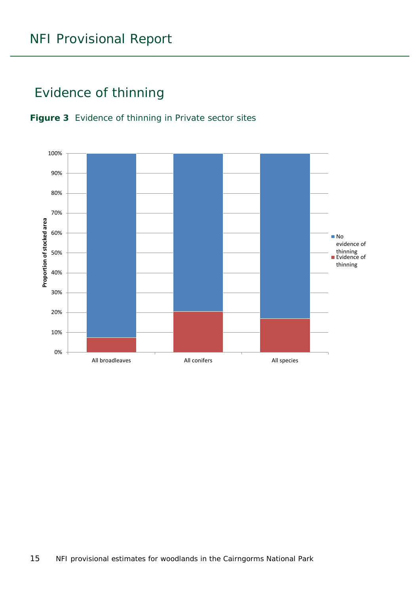# <span id="page-14-0"></span>Evidence of thinning

<span id="page-14-1"></span>

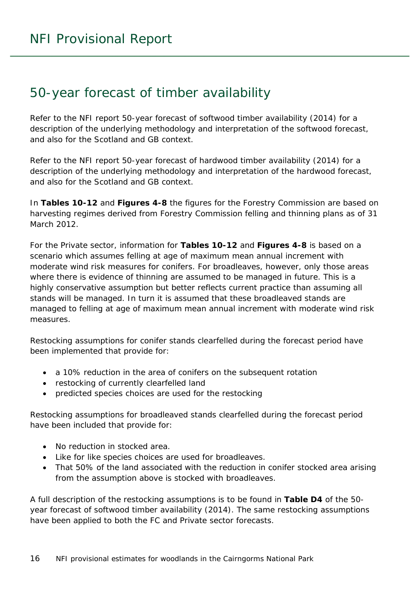### <span id="page-15-0"></span>50-year forecast of timber availability

Refer to the NFI report *50-year forecast of softwood timber availability* (2014) for a description of the underlying methodology and interpretation of the softwood forecast, and also for the Scotland and GB context.

Refer to the NFI report *50-year forecast of hardwood timber availability* (2014) for a description of the underlying methodology and interpretation of the hardwood forecast, and also for the Scotland and GB context.

In **Tables 10-12** and **Figures 4-8** the figures for the Forestry Commission are based on harvesting regimes derived from Forestry Commission felling and thinning plans as of 31 March 2012.

For the Private sector, information for **Tables 10-12** and **Figures 4-8** is based on a scenario which assumes felling at age of maximum mean annual increment with moderate wind risk measures for conifers. For broadleaves, however, only those areas where there is evidence of thinning are assumed to be managed in future. This is a highly conservative assumption but better reflects current practice than assuming all stands will be managed. In turn it is assumed that these broadleaved stands are managed to felling at age of maximum mean annual increment with moderate wind risk measures.

Restocking assumptions for conifer stands clearfelled during the forecast period have been implemented that provide for:

- a 10% reduction in the area of conifers on the subsequent rotation
- restocking of currently clearfelled land
- predicted species choices are used for the restocking

Restocking assumptions for broadleaved stands clearfelled during the forecast period have been included that provide for:

- No reduction in stocked area.
- Like for like species choices are used for broadleaves.
- That 50% of the land associated with the reduction in conifer stocked area arising from the assumption above is stocked with broadleaves.

A full description of the restocking assumptions is to be found in **Table D4** of the *50 year forecast of softwood timber availability* (2014). The same restocking assumptions have been applied to both the FC and Private sector forecasts.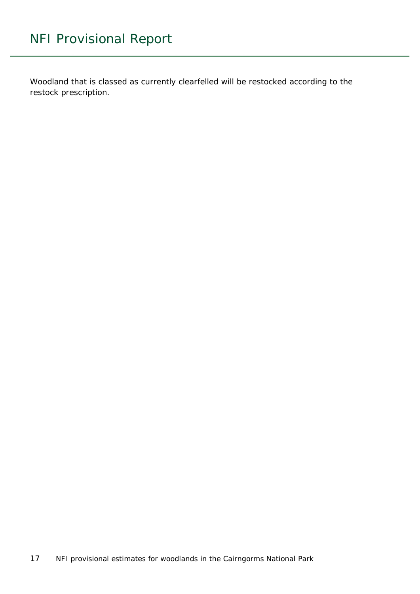Woodland that is classed as currently clearfelled will be restocked according to the restock prescription.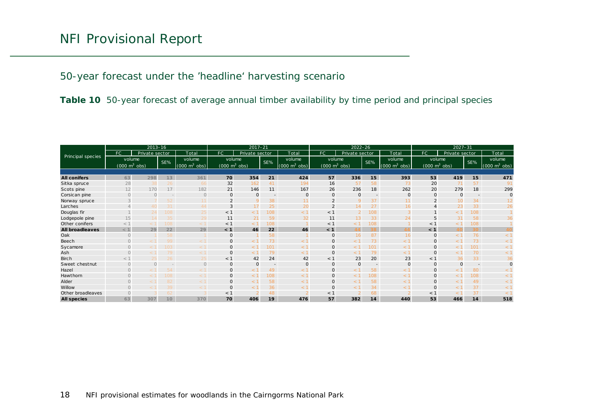50-year forecast under the 'headline' harvesting scenario

**Table 10** 50-year forecast of average annual timber availability by time period and principal species

<span id="page-17-0"></span>

|                        | $2013 - 16$                     |                |                 | $2017 - 21$                     |                                 |                | $2022 - 26$              |                                     |                                     |                | $2027 - 31$              |                    |                                 |                |                          |                          |
|------------------------|---------------------------------|----------------|-----------------|---------------------------------|---------------------------------|----------------|--------------------------|-------------------------------------|-------------------------------------|----------------|--------------------------|--------------------|---------------------------------|----------------|--------------------------|--------------------------|
|                        | FC.                             | Private sector |                 | Total                           | FC                              | Private sector |                          | Total                               | FC.                                 | Private sector |                          | Total              | FC                              | Private sector |                          | Total                    |
| Principal species      | volume                          |                | SE%             | volume                          | volume                          |                | SE%                      | volume                              | volume                              |                | SE%                      | volume             | volume                          |                | SE%                      | volume                   |
|                        | $(000 \text{ m}^3 \text{ obs})$ |                |                 | $(000 \text{ m}^3 \text{ obs})$ | $(000 \text{ m}^3 \text{ obs})$ |                |                          | $(000 \; \text{m}^3 \; \text{obs})$ | $(000 \; \text{m}^3 \; \text{obs})$ |                |                          | $m3$ obs)<br>(000) | $(000 \text{ m}^3 \text{ obs})$ |                |                          | (000 $\mathsf{m}^3$ obs) |
|                        |                                 |                |                 |                                 |                                 |                |                          |                                     |                                     |                |                          |                    |                                 |                |                          |                          |
| <b>All conifers</b>    | 63                              | 298            | 13              | 361                             | 70                              | 354            | 21                       | 424                                 | 57                                  | 336            | 15                       | 393                | 53                              | 419            | 15                       | 471                      |
| Sitka spruce           | 28                              | 38             | 26              | 66                              | 32                              | 162            | 41                       | 194                                 | 16                                  | 57             | 58                       | 73                 | 20                              | 71             | 57                       | 91                       |
| Scots pine             | 12                              | 170            | 17              | 182                             | 21                              | 146            | 11                       | 167                                 | 26                                  | 236            | 18                       | 262                | 20                              | 279            | 18                       | 299                      |
| Corsican pine          | $\Omega$                        | $\Omega$       |                 | $\circ$                         | 0                               | 0              | $\overline{\phantom{a}}$ | 0                                   | $\mathbf 0$                         | $\mathbf 0$    | $\overline{\phantom{a}}$ | $\mathbf{O}$       | $\mathbf{0}$                    | $\mathbf{0}$   |                          | $\mathbf{O}$             |
| Norway spruce          |                                 |                | 52.             |                                 |                                 | 9              | 38                       | 11                                  |                                     | $\mathbf Q$    | 37                       | 11                 |                                 | 10             | 34                       |                          |
| Larches                |                                 |                | 31              | 44                              | 3                               | 17             | 25                       | 20                                  |                                     | 14             | 27                       | 16                 | $\overline{4}$                  | 23             | 33                       | 26                       |
| Douglas fir            |                                 | 24             | 108             | 25                              | $<$ 1                           | < 1            | 108                      | < 1                                 | $<$ 1                               | $\overline{2}$ | 108                      |                    |                                 | < 1            | 108                      |                          |
| Lodgepole pine         | 15                              | 14             | 35.             | 29                              | 11                              | 21             | 59                       | 32                                  | 11                                  | 13.            | 33                       | 24                 | 5                               | 31             | 58                       | 36                       |
| Other conifers         | $<$ 1                           | < 1            | 108             | $<$ 1                           | $<$ 1                           | < 1            | 108                      |                                     | $<$ 1                               | $\leq 1$       | 108                      |                    | < 1                             | - 1            | 108                      |                          |
| <b>All broadleaves</b> | < 1                             | 29             | 22              | 29                              | < 1                             | 46             | 22                       | 46                                  | < 1                                 | $\Lambda$      | 38                       |                    | < 1                             | 40             | 30                       |                          |
| Oak                    | $\Omega$                        |                | 58              |                                 | $\mathbf 0$                     |                | 58                       |                                     | $\mathbf{O}$                        | 16             | 87                       | 16                 | $\mathbf 0$                     | < 1            | 76                       | < 1                      |
| Beech                  |                                 |                | 99              | $\leq$ 1                        | 0                               | - 1            | 73                       | < 1                                 | $\circ$                             | $\leq 1$       | 73                       | < 1                | $\mathbf 0$                     | < 1            | 73                       | $<$ 1                    |
| Sycamore               | $\Omega$                        |                | 103             | $<$ 1                           | $\mathbf{O}$                    | $\lt$ :        | 101                      | $<$ 1                               | $\mathbf{O}$                        | < 1            | 101                      | $<$ 1              | $\circ$                         | $\lt'$         | 101                      | $<$ 1                    |
| Ash                    | $\Omega$                        |                | 79.             | $<$ 1                           | O                               | $\leq$ 1       | 79                       | < 1                                 | $\mathbf{O}$                        | $<$ 1          | 79                       | < 1                | $\mathbf 0$                     | < 1            | 70                       | $<$ 1                    |
| <b>Birch</b>           | < 1                             | 25             | 26.             | 25                              | < 1                             | 42             | 24                       | 42                                  | $<$ 1                               | 23             | 20                       | 23                 | < 1                             | 36             | 33                       | 36                       |
| Sweet chestnut         | $\Omega$                        | $\cap$         |                 | $\Omega$                        | $\mathbf 0$                     | $\mathbf 0$    |                          | 0                                   | $\mathbf{0}$                        | $\Omega$       | $\overline{\phantom{a}}$ | $\mathbf{O}$       | $\mathbf 0$                     | $\Omega$       | $\overline{\phantom{a}}$ | $\Omega$                 |
| Hazel                  | $\Omega$                        |                | 54              | - 1                             | O                               | $<$ 1          | 49                       | < 1                                 | $\mathbf{0}$                        | < ⊺            | 58                       | $<$ 1              | $\mathbf{O}$                    | r 1            | 80                       | $\lt$ 1                  |
| Hawthorn               | $\cap$                          |                | 108             | $<$ 1                           | $\mathbf{O}$                    | $\leq$ 1       | 108                      | < 1                                 | $\mathbf{0}$                        | $\lt'$         | 108                      | < 1                | $\mathbf{O}$                    | < 1            | 108                      | $<$ 1                    |
| Alder                  | $\circ$                         |                | 82              | $\leq$ 1                        | O                               | < 1            | 58                       | $<$ 1                               | $\mathbf 0$                         | $\leq$ 1       | 58                       | < 1                | 0                               | < 1            | 49                       | $<$ 1                    |
| Willow                 | $\Omega$                        |                | 39.             | - 1                             | 0                               | $\leq 1$       | 36                       | < 1                                 | $\mathbf{0}$                        | $<$ 1          | 34                       | $<$ 1              | $\mathbf 0$                     | $<$ 1          | 37                       | $<$ 1                    |
| Other broadleaves      |                                 |                | 62              |                                 | $<$ 1                           |                | 48                       |                                     | $<$ 1                               |                | 68                       |                    | $<$ 1                           | $\leq$ 1       | 37                       | $<$ 1                    |
| <b>All species</b>     | 63                              | 307            | 10 <sup>°</sup> | 370                             | 70                              | 406            | 19                       | 476                                 | 57                                  | 382            | 14                       | 440                | 53                              | 466            | 14                       | 518                      |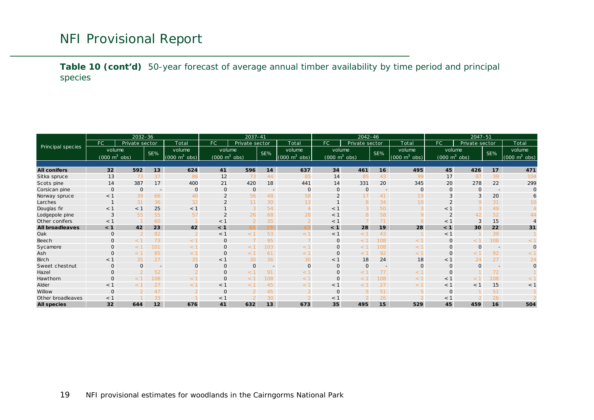**Table 10 (cont'd)** 50-year forecast of average annual timber availability by time period and principal species

<span id="page-18-0"></span>

|                        | $2032 - 36$                     |                |                          | $2037 - 41$                     |                                     |                | 2042-46                  |                                 |                                 |                | 2047-51                  |                                 |                                 |                |                          |                                 |
|------------------------|---------------------------------|----------------|--------------------------|---------------------------------|-------------------------------------|----------------|--------------------------|---------------------------------|---------------------------------|----------------|--------------------------|---------------------------------|---------------------------------|----------------|--------------------------|---------------------------------|
|                        | FC.                             | Private sector |                          | Total                           | FC                                  | Private sector |                          | Total                           | FC.                             | Private sector |                          | Total                           | FC.                             | Private sector |                          | Total                           |
| Principal species      | volume                          |                | SE%                      | volume                          | volume                              |                | SE%                      | volume                          | volume                          |                | SE%                      | volume                          | volume                          |                | SE%                      | volume                          |
|                        | $(000 \text{ m}^3 \text{ obs})$ |                |                          | $(000 \text{ m}^3 \text{ obs})$ | $(000 \; \text{m}^3 \; \text{obs})$ |                |                          | $(000 \text{ m}^3 \text{ obs})$ | $(000 \text{ m}^3 \text{ obs})$ |                |                          | m <sup>3</sup><br>obs)<br>(000) | $(000 \text{ m}^3 \text{ obs})$ |                |                          | $(000 \text{ m}^3 \text{ obs})$ |
|                        |                                 |                |                          |                                 |                                     |                |                          |                                 |                                 |                |                          |                                 |                                 |                |                          |                                 |
| <b>All conifers</b>    | 32                              | 592            | 13                       | 624                             | 41                                  | 596            | 14                       | 637                             | 34                              | 461            | 16                       | 495                             | 45                              | 426            | 17                       | 471                             |
| Sitka spruce           | 13                              | 73             | 37                       | 86                              | 12                                  | 73             | 44                       | 85                              | 14                              | 85             | 43                       | 99                              | 17                              | 87             | 39                       | 104                             |
| Scots pine             | 14                              | 387            | 17                       | 400                             | 21                                  | 420            | 18                       | 441                             | 14                              | 331            | 20                       | 345                             | 20                              | 278            | 22                       | 299                             |
| Corsican pine          | $\mathbf 0$                     | $\Omega$       | $\sim$                   | $\mathbf 0$                     | $\mathbf 0$                         | $\mathbf 0$    | $\overline{\phantom{0}}$ | $\mathsf{O}$                    | $\overline{O}$                  | $\circ$        | $\overline{\phantom{a}}$ | $\mathbf 0$                     | $\Omega$                        | $\Omega$       | $\overline{\phantom{a}}$ | $\Omega$                        |
| Norway spruce          | $<$ 1                           | 39             | 66                       | 40                              | $\overline{2}$                      | 56             | 48                       | 58                              | $\mathcal{P}$                   |                | 41                       | 19                              | 3                               |                | 20                       |                                 |
| Larches                |                                 | 31             | 36                       | 32                              | $\overline{2}$                      | 11             | 30                       | 13                              |                                 | 8              | 34                       | 10 <sup>1</sup>                 | $\overline{\phantom{0}}$        |                | 31                       |                                 |
| Douglas fir            | $<$ 1                           | < 1            | 25                       | $<$ 1                           |                                     | 3              | 54                       | $\overline{4}$                  | < 1                             |                | 50                       |                                 | $<$ 1                           |                | 49                       |                                 |
| Lodgepole pine         | 3                               | 55             | 55                       | 57                              |                                     | 26             | 68                       | 28                              | < 1                             | 8              | 58                       | 9                               |                                 | 42             | 52                       |                                 |
| Other conifers         | $<$ 1                           |                | 60                       |                                 | $<$ 1                               |                | 35                       |                                 | < 1                             |                | 71                       |                                 | < 1                             |                | 15                       |                                 |
| <b>All broadleaves</b> | < 1                             | 42             | 23                       | 42                              | < 1                                 | 43.            |                          | 43                              | < 1                             | 28             | 19                       | 28                              | < 1                             | 30             | 22                       | 31                              |
| Oak                    | $\mathbf{O}$                    |                | 82                       |                                 | $<$ 1                               |                | 53                       | $<$ 1                           | < 1                             | < 1            | 43                       |                                 | $<$ 1                           |                | 39                       |                                 |
| Beech                  | $\Omega$                        | < ⊺            | 73                       | < 1                             | $\mathbf{O}$                        |                | 95                       |                                 | $\mathbf 0$                     | $<$ 1          | 108                      | $\leq$ 1                        | $\mathbf 0$                     |                | 108                      |                                 |
| Sycamore               | $\Omega$                        |                | 101                      | < 1                             | $\Omega$                            | ← 1            | 103                      | < 1                             | $\Omega$                        | ← 1            | 108                      | $\leq$ 1                        | $\Omega$                        | ი              |                          |                                 |
| Ash                    | $\Omega$                        | - 1            | 85                       | < 1                             | $\overline{0}$                      | $\leq$ 1       | 61                       | $<$ 1                           | $\Omega$                        | < 1            | 92                       | $<$ 1                           | $\Omega$                        | < ∶            | 92                       | $\lt'$                          |
| <b>Birch</b>           | $<$ 1                           | 35             | 27                       | 35                              | $<$ 1                               | 30             | 36                       | 30                              | < 1                             | 18             | 24                       | 18                              | $<$ 1                           | 24             | 27                       | 24                              |
| Sweet chestnut         | $\mathbf 0$                     | $\Omega$       | $\overline{\phantom{a}}$ | $\mathbf 0$                     | $\mathbf 0$                         | $\mathbf{0}$   |                          | $\mathsf{O}$                    | $\Omega$                        | $\Omega$       | $\overline{\phantom{a}}$ | $\Omega$                        | $\Omega$                        | $\Omega$       |                          | $\Omega$                        |
| Hazel                  | $\Omega$                        |                | 52                       |                                 | $\overline{0}$                      | $\leq$ 1       | 91                       | < 1                             | $\overline{O}$                  | $<$ 1          | 77                       | $\leq$ 1                        | $\Omega$                        |                | 72                       |                                 |
| Hawthorn               | $\mathbf 0$                     | $<$ 1          | 108                      | < 1                             | $\overline{0}$                      | $<$ 1          | 108                      | $<$ 1                           | $\Omega$                        | $\leq$ 1       | 108                      | $\leq$ 1                        | $<$ 1                           | $\lt'$         | 108                      | $\lt$                           |
| Alder                  | $<$ 1                           | $\leq$ 1       | 27                       | < 1                             | $<$ 1                               | - 1            | 45                       | $<$ 1                           | $<$ 1                           | < 1            | 27                       | $\leq$ 1                        | $<$ 1                           | $<$ 1          | 15                       | $<$ 1                           |
| Willow                 | $\Omega$                        |                | 47                       |                                 | $\mathbf 0$                         |                | 45                       |                                 | $\Omega$                        |                | 51                       |                                 | $\Omega$                        |                | 51                       |                                 |
| Other broadleaves      | $<$ 1                           |                | 33                       |                                 | $<$ 1                               |                | 30                       |                                 | $<$ 1                           |                | 26                       |                                 | $<$ 1                           |                | 26                       |                                 |
| <b>All species</b>     | 32                              | 644            | 12                       | 676                             | 41                                  | 632            | 13                       | 673                             | 35                              | 495            | 15                       | 529                             | 45                              | 459            | 16                       | 504                             |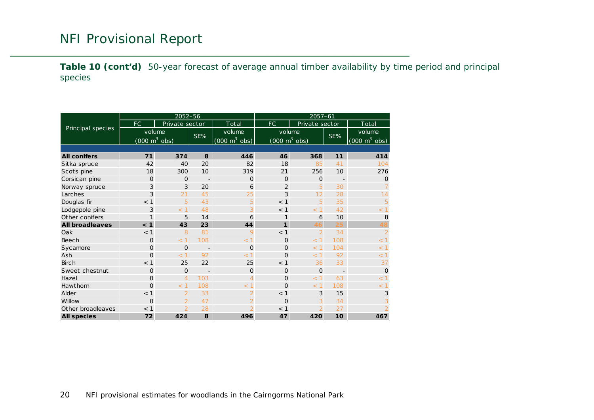**Table 10 (cont'd)** 50-year forecast of average annual timber availability by time period and principal species

<span id="page-19-0"></span>

|                        |                                     | 2052-56        |                          |                                 | $2057 - 61$    |                                     |                          |                                 |  |  |
|------------------------|-------------------------------------|----------------|--------------------------|---------------------------------|----------------|-------------------------------------|--------------------------|---------------------------------|--|--|
|                        | FC.                                 | Private sector |                          | Total                           | <b>FC</b>      |                                     | Private sector           |                                 |  |  |
| Principal species      | volume                              |                |                          | volume                          |                | volume                              |                          | volume                          |  |  |
|                        | $(000 \; \text{m}^3 \; \text{obs})$ |                | SE%                      | $(000 \text{ m}^3 \text{ obs})$ |                | $(000 \; \text{m}^3 \; \text{obs})$ | SE%                      | $(000 \text{ m}^3 \text{ obs})$ |  |  |
|                        |                                     |                |                          |                                 |                |                                     |                          |                                 |  |  |
| <b>All conifers</b>    | 71                                  | 374            | 8                        | 446                             | 46             | 368                                 | 11                       | 414                             |  |  |
| Sitka spruce           | 42                                  | 40             | 20                       | 82                              | 18             | 85                                  | 41                       | 104                             |  |  |
| Scots pine             | 18                                  | 300            | 10                       | 319                             | 21             | 256                                 | 10                       | 276                             |  |  |
| Corsican pine          | $\Omega$                            | $\Omega$       | $\overline{\phantom{a}}$ | $\Omega$                        | $\Omega$       | $\Omega$                            | $\overline{\phantom{a}}$ | $\Omega$                        |  |  |
| Norway spruce          | 3                                   | 3              | 20                       | 6                               | $\overline{2}$ | 5                                   | 30                       |                                 |  |  |
| Larches                | 3                                   | 21             | 45                       | 25                              | 3              | 12                                  | 28                       | 14                              |  |  |
| Douglas fir            | $<$ 1                               | 5              | 43                       | 5                               | < 1            | 5                                   | 35                       | 5                               |  |  |
| Lodgepole pine         | 3                                   | < 1            | 48                       | 3                               | < 1            | < 1                                 | 42                       | < 1                             |  |  |
| Other conifers         | 1                                   | 5              | 14                       | 6                               | 1              | 6                                   | 10                       | 8                               |  |  |
| <b>All broadleaves</b> | < 1                                 | 43             | 23                       | 44                              | $\mathbf{1}$   | 46                                  | 25                       | 48                              |  |  |
| Oak                    | $<$ 1                               | 8              | 81                       | 9                               | < 1            | $\overline{2}$                      | 34                       | $\overline{2}$                  |  |  |
| Beech                  | $\Omega$                            | < 1            | 108                      | < 1                             | $\Omega$       | < 1                                 | 108                      | < 1                             |  |  |
| Sycamore               | $\Omega$                            | $\Omega$       |                          | 0                               | $\Omega$       | $<$ 1                               | 104                      | < 1                             |  |  |
| Ash                    | $\Omega$                            | < 1            | 92                       | < 1                             | $\Omega$       | < 1                                 | 92                       | < 1                             |  |  |
| <b>Birch</b>           | $<$ 1                               | 25             | 22                       | 25                              | < 1            | 36                                  | 33                       | 37                              |  |  |
| Sweet chestnut         | $\Omega$                            | $\Omega$       |                          | $\Omega$                        | $\Omega$       | $\Omega$                            | $\overline{\phantom{a}}$ | $\Omega$                        |  |  |
| Hazel                  | $\Omega$                            | $\overline{4}$ | 103                      | $\overline{4}$                  | $\Omega$       | < 1                                 | 63                       | < 1                             |  |  |
| Hawthorn               | $\Omega$                            | < 1            | 108                      | < 1                             | $\Omega$       | < 1                                 | 108                      | < 1                             |  |  |
| Alder                  | $<$ 1                               | $\overline{2}$ | 33                       | $\overline{2}$                  | < 1            | 3                                   | 15                       | 3                               |  |  |
| Willow                 | $\Omega$                            | $\overline{2}$ | 47                       | $\overline{2}$                  | $\Omega$       | 3                                   | 34                       | 3                               |  |  |
| Other broadleaves      | $<$ 1                               | $\overline{2}$ | 28                       | $\overline{2}$                  | < 1            | $\overline{\mathcal{L}}$            | 27                       | $\overline{2}$                  |  |  |
| <b>All species</b>     | 72                                  | 424            | 8                        | 496                             | 47             | 420                                 | 10                       | 467                             |  |  |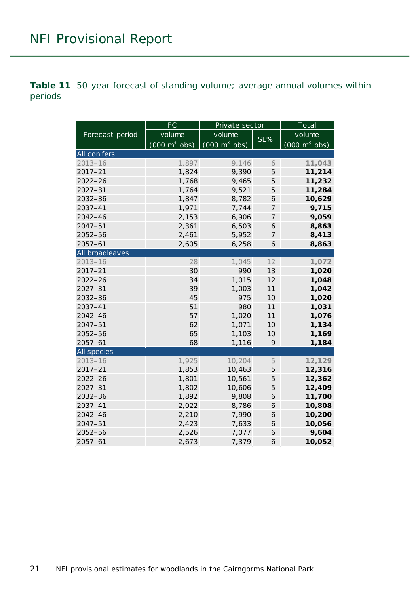<span id="page-20-0"></span>**Table 11** 50-year forecast of standing volume; average annual volumes within periods

|                    | FC                              | Private sector                  | Total          |                                 |  |
|--------------------|---------------------------------|---------------------------------|----------------|---------------------------------|--|
| Forecast period    | volume                          | volume                          |                | volume                          |  |
|                    | $(000 \text{ m}^3 \text{ obs})$ | $(000 \text{ m}^3 \text{ obs})$ | SE%            | $(000 \text{ m}^3 \text{ obs})$ |  |
| All conifers       |                                 |                                 |                |                                 |  |
| $2013 - 16$        | 1,897                           | 9,146                           | 6              | 11,043                          |  |
| $2017 - 21$        | 1,824                           | 9,390                           | 5              | 11,214                          |  |
| $2022 - 26$        | 1,768                           | 9,465                           | 5              | 11,232                          |  |
| $2027 - 31$        | 1,764                           | 9,521                           | 5              | 11,284                          |  |
| 2032-36            | 1,847                           | 8,782                           | 6              | 10,629                          |  |
| 2037-41            | 1,971                           | 7,744                           | $\overline{7}$ | 9,715                           |  |
| 2042-46            | 2,153                           | 6,906                           | $\overline{7}$ | 9,059                           |  |
| $2047 - 51$        | 2,361                           | 6,503                           | 6              | 8,863                           |  |
| 2052-56            | 2,461                           | 5,952                           | $\overline{7}$ | 8,413                           |  |
| $2057 - 61$        | 2,605                           | 6,258                           | 6              | 8,863                           |  |
| All broadleaves    |                                 |                                 |                |                                 |  |
| $2013 - 16$        | 28                              | 1,045                           | 12             | 1,072                           |  |
| $2017 - 21$        | 30                              | 990                             | 13             | 1,020                           |  |
| $2022 - 26$        | 34                              | 1,015                           | 12             | 1,048                           |  |
| $2027 - 31$        | 39                              | 1,003                           | 11             | 1,042                           |  |
| 2032-36            | 45                              | 975                             | 10             | 1,020                           |  |
| 2037-41            | 51                              | 980                             | 11             | 1,031                           |  |
| $2042 - 46$        | 57                              | 1,020                           | 11             | 1,076                           |  |
| $2047 - 51$        | 62                              | 1,071                           | 10             | 1,134                           |  |
| $2052 - 56$        | 65                              | 1,103                           | 10             | 1,169                           |  |
| $2057 - 61$        | 68                              | 1,116                           | 9              | 1,184                           |  |
| <b>All species</b> |                                 |                                 |                |                                 |  |
| $2013 - 16$        | 1,925                           | 10,204                          | 5              | 12,129                          |  |
| $2017 - 21$        | 1,853                           | 10,463                          | 5              | 12,316                          |  |
| $2022 - 26$        | 1,801                           | 10,561                          | 5              | 12,362                          |  |
| $2027 - 31$        | 1,802                           | 10,606                          | 5              | 12,409                          |  |
| $2032 - 36$        | 1,892                           | 9,808                           | 6              | 11,700                          |  |
| $2037 - 41$        | 2,022                           | 8,786                           | 6              | 10,808                          |  |
| 2042-46            | 2,210                           | 7,990                           | 6              | 10,200                          |  |
| $2047 - 51$        | 2,423                           | 7,633                           | 6              | 10,056                          |  |
| 2052-56            | 2,526                           | 7,077                           | 6              | 9,604                           |  |
| $2057 - 61$        | 2,673                           | 7,379                           | 6              | 10,052                          |  |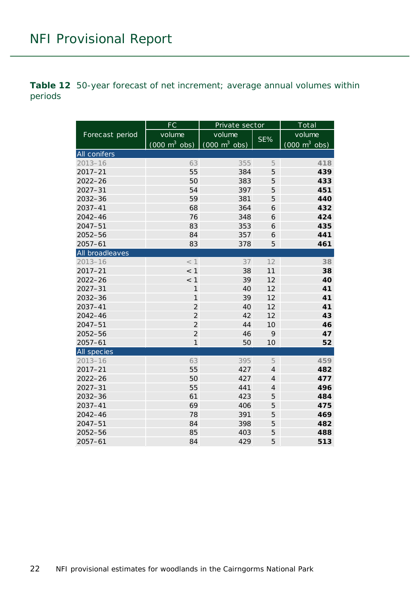<span id="page-21-0"></span>**Table 12** 50-year forecast of net increment; average annual volumes within periods

|                 | FC                              | Private sector                  | Total          |                                 |  |
|-----------------|---------------------------------|---------------------------------|----------------|---------------------------------|--|
| Forecast period | volume                          | volume                          |                | volume                          |  |
|                 | $(000 \text{ m}^3 \text{ obs})$ | $(000 \text{ m}^3 \text{ obs})$ | SE%            | $(000 \text{ m}^3 \text{ obs})$ |  |
| All conifers    |                                 |                                 |                |                                 |  |
| $2013 - 16$     | 63                              | 355                             | 5              | 418                             |  |
| $2017 - 21$     | 55                              | 384                             | 5              | 439                             |  |
| $2022 - 26$     | 50                              | 383                             | 5              | 433                             |  |
| $2027 - 31$     | 54                              | 397                             | 5              | 451                             |  |
| 2032-36         | 59                              | 381                             | 5              | 440                             |  |
| $2037 - 41$     | 68                              | 364                             | 6              | 432                             |  |
| $2042 - 46$     | 76                              | 348                             | 6              | 424                             |  |
| $2047 - 51$     | 83                              | 353                             | 6              | 435                             |  |
| 2052-56         | 84                              | 357                             | 6              | 441                             |  |
| $2057 - 61$     | 83                              | 378                             | 5              | 461                             |  |
| All broadleaves |                                 |                                 |                |                                 |  |
| $2013 - 16$     | < 1                             | 37                              | 12             | 38                              |  |
| $2017 - 21$     | < 1                             | 38                              | 11             | 38                              |  |
| $2022 - 26$     | $<$ 1                           | 39                              | 12             | 40                              |  |
| $2027 - 31$     | 1                               | 40                              | 12             | 41                              |  |
| 2032-36         | $\mathbf{1}$                    | 39                              | 12             | 41                              |  |
| $2037 - 41$     | $\overline{2}$                  | 40                              | 12             | 41                              |  |
| $2042 - 46$     | $\overline{2}$                  | 42                              | 12             | 43                              |  |
| $2047 - 51$     | $\overline{2}$                  | 44                              | 10             | 46                              |  |
| $2052 - 56$     | $\overline{2}$                  | 46                              | 9              | 47                              |  |
| $2057 - 61$     | $\mathbf{1}$                    | 50                              | 10             | 52                              |  |
| All species     |                                 |                                 |                |                                 |  |
| $2013 - 16$     | 63                              | 395                             | 5              | 459                             |  |
| $2017 - 21$     | 55                              | 427                             | $\overline{4}$ | 482                             |  |
| $2022 - 26$     | 50                              | 427                             | $\overline{4}$ | 477                             |  |
| $2027 - 31$     | 55                              | 441                             | $\overline{4}$ | 496                             |  |
| 2032-36         | 61                              | 423                             | 5              | 484                             |  |
| $2037 - 41$     | 69                              | 406                             | 5              | 475                             |  |
| 2042-46         | 78                              | 391                             | 5              | 469                             |  |
| $2047 - 51$     | 84                              | 398                             | 5              | 482                             |  |
| 2052-56         | 85                              | 403                             | 5              | 488                             |  |
| $2057 - 61$     | 84                              | 429                             | 5              | 513                             |  |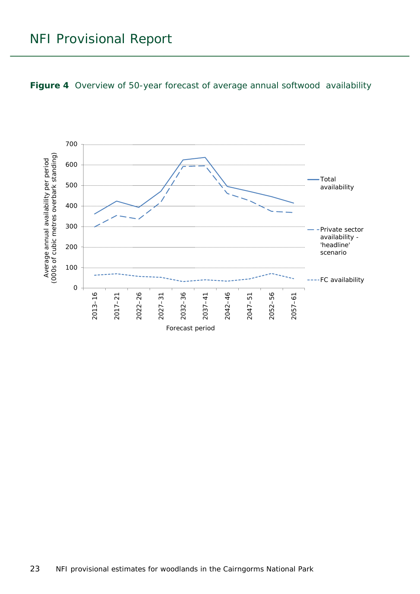<span id="page-22-0"></span>

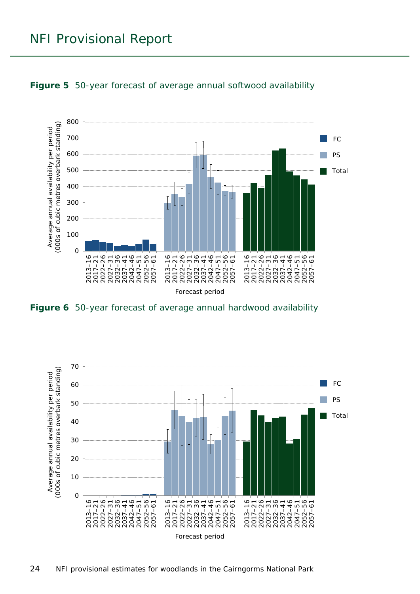

<span id="page-23-0"></span>

<span id="page-23-1"></span>**Figure 6** 50-year forecast of average annual hardwood availability

<span id="page-23-2"></span>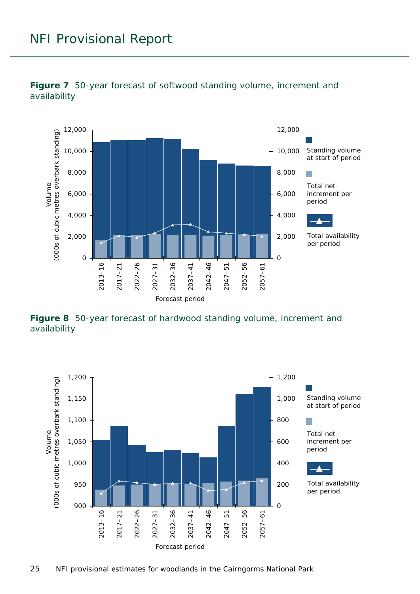



<span id="page-24-0"></span>**Figure 8** 50-year forecast of hardwood standing volume, increment and availability